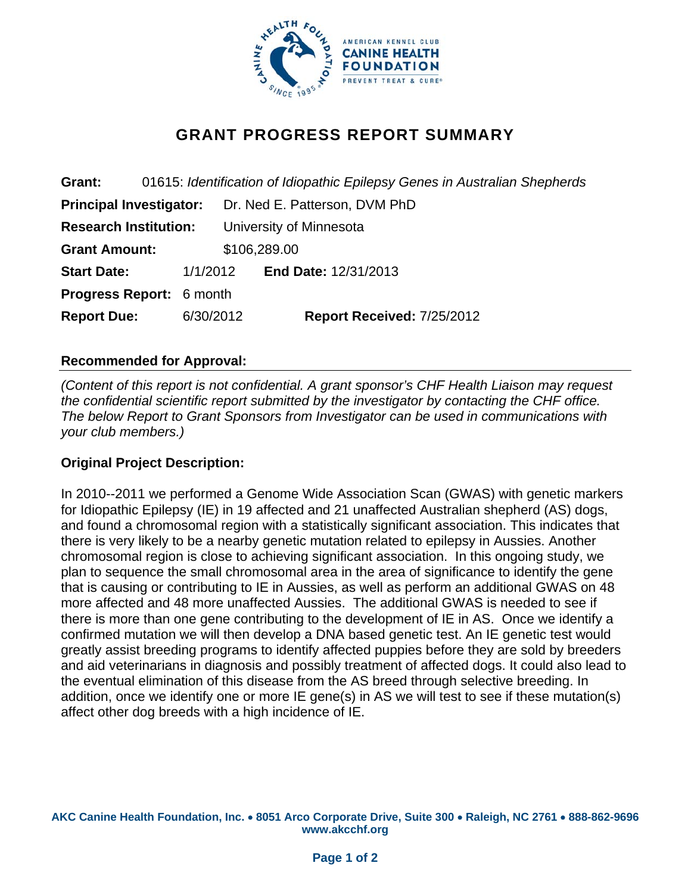

# **GRANT PROGRESS REPORT SUMMARY**

| Grant:                          |  | 01615: Identification of Idiopathic Epilepsy Genes in Australian Shepherds |                               |  |                             |  |  |  |  |  |  |
|---------------------------------|--|----------------------------------------------------------------------------|-------------------------------|--|-----------------------------|--|--|--|--|--|--|
| <b>Principal Investigator:</b>  |  |                                                                            | Dr. Ned E. Patterson, DVM PhD |  |                             |  |  |  |  |  |  |
| <b>Research Institution:</b>    |  |                                                                            | University of Minnesota       |  |                             |  |  |  |  |  |  |
| <b>Grant Amount:</b>            |  |                                                                            | \$106,289.00                  |  |                             |  |  |  |  |  |  |
| <b>Start Date:</b>              |  | 1/1/2012                                                                   |                               |  | <b>End Date: 12/31/2013</b> |  |  |  |  |  |  |
| <b>Progress Report: 6 month</b> |  |                                                                            |                               |  |                             |  |  |  |  |  |  |
| <b>Report Due:</b>              |  | 6/30/2012                                                                  |                               |  | Report Received: 7/25/2012  |  |  |  |  |  |  |
|                                 |  |                                                                            |                               |  |                             |  |  |  |  |  |  |

# **Recommended for Approval:**

*(Content of this report is not confidential. A grant sponsor's CHF Health Liaison may request the confidential scientific report submitted by the investigator by contacting the CHF office. The below Report to Grant Sponsors from Investigator can be used in communications with your club members.)* 

#### **Original Project Description:**

In 2010--2011 we performed a Genome Wide Association Scan (GWAS) with genetic markers for Idiopathic Epilepsy (IE) in 19 affected and 21 unaffected Australian shepherd (AS) dogs, and found a chromosomal region with a statistically significant association. This indicates that there is very likely to be a nearby genetic mutation related to epilepsy in Aussies. Another chromosomal region is close to achieving significant association. In this ongoing study, we plan to sequence the small chromosomal area in the area of significance to identify the gene that is causing or contributing to IE in Aussies, as well as perform an additional GWAS on 48 more affected and 48 more unaffected Aussies. The additional GWAS is needed to see if there is more than one gene contributing to the development of IE in AS. Once we identify a confirmed mutation we will then develop a DNA based genetic test. An IE genetic test would greatly assist breeding programs to identify affected puppies before they are sold by breeders and aid veterinarians in diagnosis and possibly treatment of affected dogs. It could also lead to the eventual elimination of this disease from the AS breed through selective breeding. In addition, once we identify one or more IE gene(s) in AS we will test to see if these mutation(s) affect other dog breeds with a high incidence of IE.